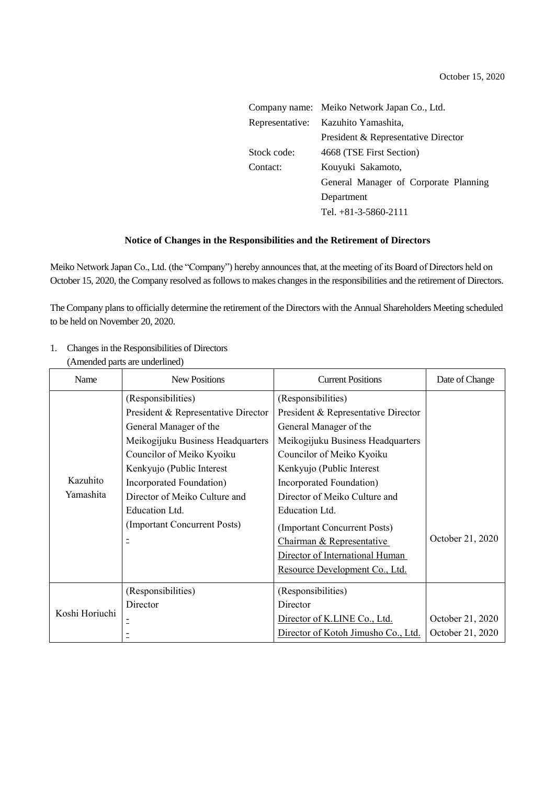|                 | Company name: Meiko Network Japan Co., Ltd. |
|-----------------|---------------------------------------------|
| Representative: | Kazuhito Yamashita,                         |
|                 | President & Representative Director         |
| Stock code:     | 4668 (TSE First Section)                    |
| Contact:        | Kouyuki Sakamoto,                           |
|                 | General Manager of Corporate Planning       |
|                 | Department                                  |
|                 | Tel. $+81-3-5860-2111$                      |
|                 |                                             |

## **Notice of Changes in the Responsibilities and the Retirement of Directors**

Meiko Network Japan Co., Ltd. (the "Company") hereby announces that, at the meeting of its Board of Directors held on October 15, 2020, the Company resolved as follows to makes changes in the responsibilities and the retirement of Directors.

The Company plans to officially determine the retirement of the Directors with the Annual Shareholders Meeting scheduled to be held on November 20, 2020.

| Name                  | <b>New Positions</b>                | <b>Current Positions</b>            | Date of Change   |
|-----------------------|-------------------------------------|-------------------------------------|------------------|
| Kazuhito<br>Yamashita | (Responsibilities)                  | (Responsibilities)                  |                  |
|                       | President & Representative Director | President & Representative Director |                  |
|                       | General Manager of the              | General Manager of the              |                  |
|                       | Meikogijuku Business Headquarters   | Meikogijuku Business Headquarters   |                  |
|                       | Councilor of Meiko Kyoiku           | Councilor of Meiko Kyoiku           |                  |
|                       | Kenkyujo (Public Interest           | Kenkyujo (Public Interest           |                  |
|                       | Incorporated Foundation)            | Incorporated Foundation)            |                  |
|                       | Director of Meiko Culture and       | Director of Meiko Culture and       |                  |
|                       | Education Ltd.                      | Education Ltd.                      |                  |
|                       | (Important Concurrent Posts)        | (Important Concurrent Posts)        |                  |
|                       | Ξ                                   | Chairman & Representative           | October 21, 2020 |
|                       |                                     | Director of International Human     |                  |
|                       |                                     | Resource Development Co., Ltd.      |                  |
| Koshi Horiuchi        | (Responsibilities)                  | (Responsibilities)                  |                  |
|                       | Director                            | Director                            |                  |
|                       |                                     | Director of K.LINE Co., Ltd.        | October 21, 2020 |
|                       |                                     | Director of Kotoh Jimusho Co., Ltd. | October 21, 2020 |

1. Changes in the Responsibilities of Directors (Amended parts are underlined)